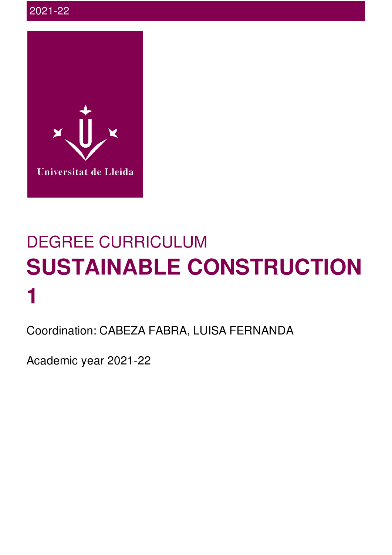

# DEGREE CURRICULUM **SUSTAINABLE CONSTRUCTION 1**

Coordination: CABEZA FABRA, LUISA FERNANDA

Academic year 2021-22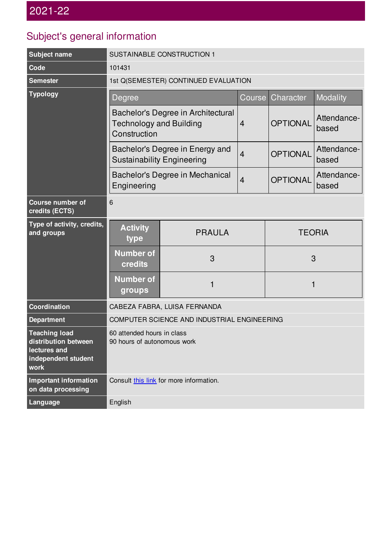## Subject's general information

| <b>Subject name</b>                                                                         | SUSTAINABLE CONSTRUCTION 1                                                           |               |                |                 |                      |  |
|---------------------------------------------------------------------------------------------|--------------------------------------------------------------------------------------|---------------|----------------|-----------------|----------------------|--|
| Code                                                                                        | 101431                                                                               |               |                |                 |                      |  |
| <b>Semester</b>                                                                             | 1st Q(SEMESTER) CONTINUED EVALUATION                                                 |               |                |                 |                      |  |
| <b>Typology</b>                                                                             | Degree                                                                               |               | Course         | Character       | Modality             |  |
|                                                                                             | Bachelor's Degree in Architectural<br><b>Technology and Building</b><br>Construction |               | $\overline{4}$ | <b>OPTIONAL</b> | Attendance-<br>based |  |
|                                                                                             | Bachelor's Degree in Energy and<br><b>Sustainability Engineering</b>                 |               | $\overline{4}$ | <b>OPTIONAL</b> | Attendance-<br>based |  |
|                                                                                             | Bachelor's Degree in Mechanical<br>Engineering                                       |               | $\overline{4}$ | <b>OPTIONAL</b> | Attendance-<br>based |  |
| <b>Course number of</b><br>credits (ECTS)                                                   | 6                                                                                    |               |                |                 |                      |  |
| Type of activity, credits,<br>and groups                                                    | <b>Activity</b><br>type                                                              | <b>PRAULA</b> |                | <b>TEORIA</b>   |                      |  |
|                                                                                             | <b>Number of</b><br>credits                                                          | 3             |                | 3               |                      |  |
|                                                                                             | <b>Number of</b><br>groups                                                           | 1             |                | 1               |                      |  |
| Coordination                                                                                | CABEZA FABRA, LUISA FERNANDA                                                         |               |                |                 |                      |  |
| <b>Department</b>                                                                           | COMPUTER SCIENCE AND INDUSTRIAL ENGINEERING                                          |               |                |                 |                      |  |
| <b>Teaching load</b><br>distribution between<br>lectures and<br>independent student<br>work | 60 attended hours in class<br>90 hours of autonomous work                            |               |                |                 |                      |  |
| <b>Important information</b><br>on data processing                                          | Consult this link for more information.                                              |               |                |                 |                      |  |
| Language                                                                                    | English                                                                              |               |                |                 |                      |  |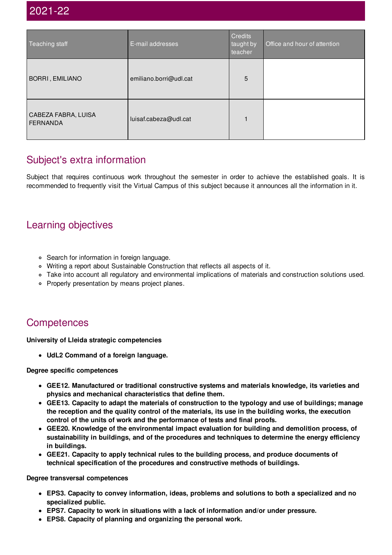## 2021-22

| Teaching staff                         | E-mail addresses       | Credits<br>taught by<br>teacher | Office and hour of attention |
|----------------------------------------|------------------------|---------------------------------|------------------------------|
| BORRI, EMILIANO                        | emiliano.borri@udl.cat | 5                               |                              |
| CABEZA FABRA, LUISA<br><b>FERNANDA</b> | luisaf.cabeza@udl.cat  |                                 |                              |

## Subject's extra information

Subject that requires continuous work throughout the semester in order to achieve the established goals. It is recommended to frequently visit the Virtual Campus of this subject because it announces all the information in it.

## Learning objectives

- Search for information in foreign language.
- Writing a report about Sustainable Construction that reflects all aspects of it.
- Take into account all regulatory and environmental implications of materials and construction solutions used.
- Properly presentation by means project planes.

## **Competences**

**University of Lleida strategic competencies**

**UdL2 Command of a foreign language.**

#### **Degree specific competences**

- **GEE12. Manufactured or traditional constructive systems and materials knowledge, its varieties and physics and mechanical characteristics that define them.**
- **GEE13. Capacity to adapt the materials of construction to the typology and use of buildings; manage the reception and the quality control of the materials, its use in the building works, the execution control of the units of work and the performance of tests and final proofs.**
- **GEE20. Knowledge of the environmental impact evaluation for building and demolition process, of sustainability in buildings, and of the procedures and techniques to determine the energy efficiency in buildings.**
- **GEE21. Capacity to apply technical rules to the building process, and produce documents of technical specification of the procedures and constructive methods of buildings.**

**Degree transversal competences**

- **EPS3. Capacity to convey information, ideas, problems and solutions to both a specialized and no specialized public.**
- **EPS7. Capacity to work in situations with a lack of information and/or under pressure.**
- **EPS8. Capacity of planning and organizing the personal work.**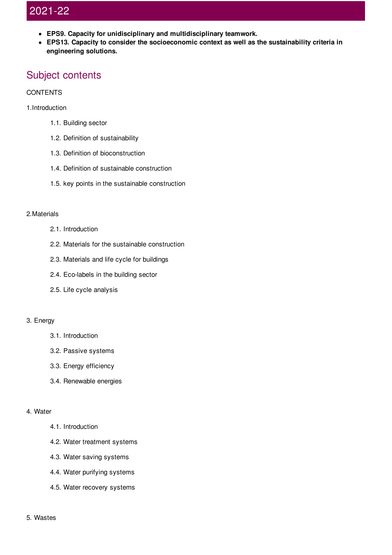## 2021-22

- **EPS9. Capacity for unidisciplinary and multidisciplinary teamwork.**
- **EPS13. Capacity to consider the socioeconomic context as well as the sustainability criteria in engineering solutions.**

## Subject contents

#### **CONTENTS**

#### 1.Introduction

- 1.1. Building sector
- 1.2. Definition of sustainability
- 1.3. Definition of bioconstruction
- 1.4. Definition of sustainable construction
- 1.5. key points in the sustainable construction

#### 2.Materials

- 2.1. Introduction
- 2.2. Materials for the sustainable construction
- 2.3. Materials and life cycle for buildings
- 2.4. Eco-labels in the building sector
- 2.5. Life cycle analysis

#### 3. Energy

- 3.1. Introduction
- 3.2. Passive systems
- 3.3. Energy efficiency
- 3.4. Renewable energies

#### 4. Water

#### 4.1. Introduction

- 4.2. Water treatment systems
- 4.3. Water saving systems
- 4.4. Water purifying systems
- 4.5. Water recovery systems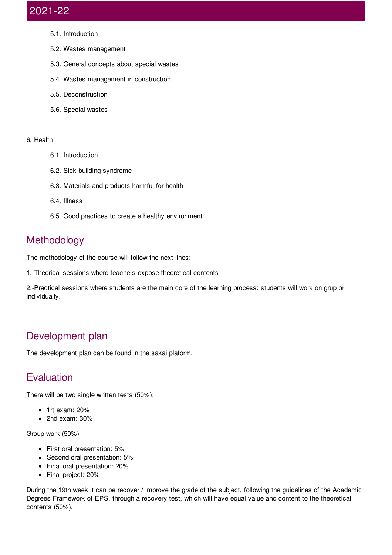## 2021-22

- 5.1. Introduction
- 5.2. Wastes management
- 5.3. General concepts about special wastes
- 5.4. Wastes management in construction
- 5.5. Deconstruction
- 5.6. Special wastes

#### 6. Health

- 6.1. Introduction
- 6.2. Sick building syndrome
- 6.3. Materials and products harmful for health
- 6.4. Illness
- 6.5. Good practices to create a healthy environment

## Methodology

The methodology of the course will follow the next lines:

1.-Theorical sessions where teachers expose theoretical contents

2.-Practical sessions where students are the main core of the learning process: students will work on grup or individually.

## Development plan

The development plan can be found in the sakai plaform.

## Evaluation

There will be two single written tests (50%):

- $\bullet$  1rt exam: 20%
- 2nd exam: 30%

Group work (50%)

- First oral presentation: 5%
- Second oral presentation: 5%
- Final oral presentation: 20%
- Final project: 20%

During the 19th week it can be recover / improve the grade of the subject, following the guidelines of the Academic Degrees Framework of EPS, through a recovery test, which will have equal value and content to the theoretical contents (50%).